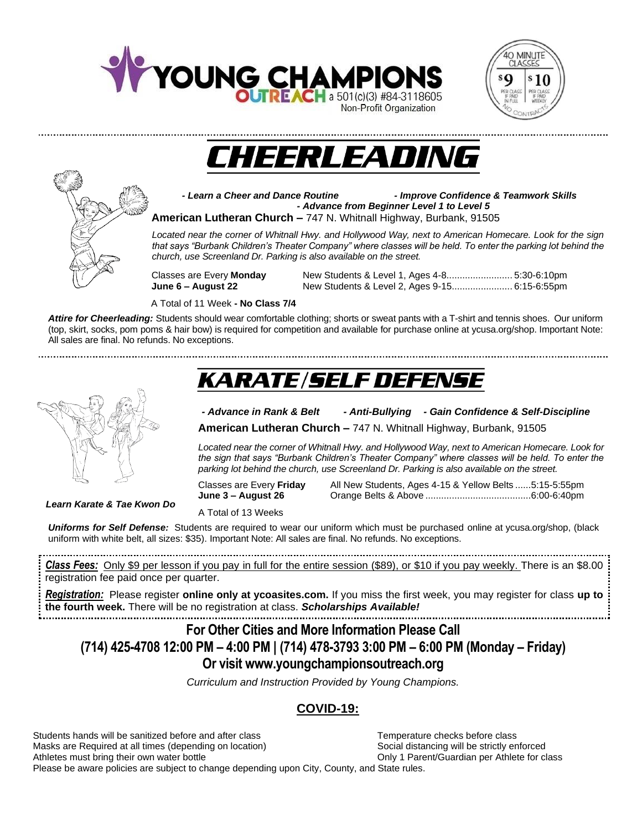







*- Learn a Cheer and Dance Routine - Improve Confidence & Teamwork Skills - Advance from Beginner Level 1 to Level 5* **American Lutheran Church –** 747 N. Whitnall Highway, Burbank, 91505

*Located near the corner of Whitnall Hwy. and Hollywood Way, next to American Homecare. Look for the sign that says "Burbank Children's Theater Company" where classes will be held. To enter the parking lot behind the church, use Screenland Dr. Parking is also available on the street.*

Classes are Every **Monday** New Students & Level 1, Ages 4-8......................... 5:30-6:10pm **June 6 – August 22** New Students & Level 2, Ages 9-15....................... 6:15-6:55pm

A Total of 11 Week **- No Class 7/4**

*Attire for Cheerleading:* Students should wear comfortable clothing; shorts or sweat pants with a T-shirt and tennis shoes. Our uniform (top, skirt, socks, pom poms & hair bow) is required for competition and available for purchase online at ycusa.org/shop. Important Note: All sales are final. No refunds. No exceptions.

# **KARATE/SELF DEFENSE**

### *- Advance in Rank & Belt - Anti-Bullying - Gain Confidence & Self-Discipline*

**American Lutheran Church –** 747 N. Whitnall Highway, Burbank, 91505

*Located near the corner of Whitnall Hwy. and Hollywood Way, next to American Homecare. Look for the sign that says "Burbank Children's Theater Company" where classes will be held. To enter the parking lot behind the church, use Screenland Dr. Parking is also available on the street.*

Classes are Every **Friday** All New Students, Ages 4-15 & Yellow Belts ......5:15-5:55pm **June 3 – August 26** Orange Belts & Above ........................................6:00-6:40pm

*Learn Karate & Tae Kwon Do*

A Total of 13 Weeks

*Uniforms for Self Defense:* Students are required to wear our uniform which must be purchased online at ycusa.org/shop, (black uniform with white belt, all sizes: \$35). Important Note: All sales are final. No refunds. No exceptions.

*Class Fees:* Only \$9 per lesson if you pay in full for the entire session (\$89), or \$10 if you pay weekly. There is an \$8.00 registration fee paid once per quarter.

*Registration:* Please register **online only at ycoasites.com.** If you miss the first week, you may register for class **up to the fourth week.** There will be no registration at class. *Scholarships Available!*

**For Other Cities and More Information Please Call (714) 425-4708 12:00 PM – 4:00 PM | (714) 478-3793 3:00 PM – 6:00 PM (Monday – Friday) Or visit www.youngchampionsoutreach.org** 

*Curriculum and Instruction Provided by Young Champions.*

## **COVID-19:**

Students hands will be sanitized before and after class Temperature checks before class Masks are Required at all times (depending on location) Social distancing will be strictly enforced Athletes must bring their own water bottle **Only 1 Parent/Guardian per Athlete for class** Please be aware policies are subject to change depending upon City, County, and State rules.